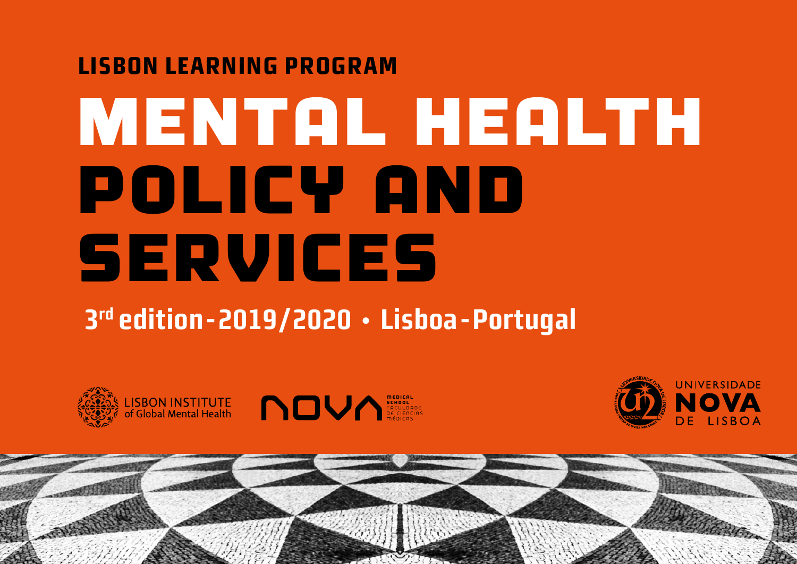### **LISBON LEARNING PROGRAM**

# MENTAL HEALTH POLICY AND SERVICES

# **3rd edition-2019/2020 · Lisboa - Portugal**





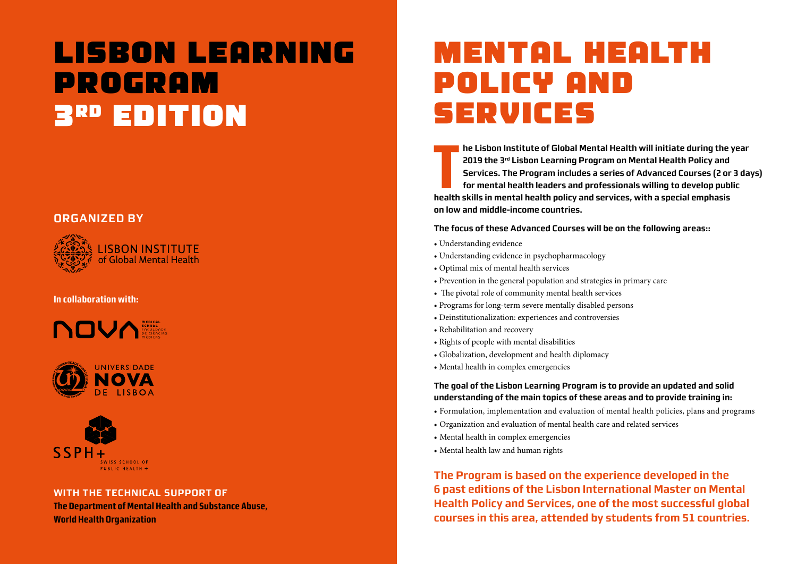# **LISBON LEARNING PROGRAM 3RD EDITION**

#### **ORGANIZED BY**



#### **In collaboration with:**







#### **WITH THE TECHNICAL SUPPORT OF**

**The Department of Mental Health and Substance Abuse, World Health Organization**

# **MENTAL HEALTH POLICY AND SERVICES**

The Lisbon Institute of Global Mental Health will initiate during the<br>
2019 the 3<sup>rd</sup> Lisbon Learning Program on Mental Health Policy and<br>
Services. The Program includes a series of Advanced Courses (2 or<br>
for mental healt **he Lisbon Institute of Global Mental Health will initiate during the year 2019 the 3rd Lisbon Learning Program on Mental Health Policy and Services. The Program includes a series of Advanced Courses (2 or 3 days) for mental health leaders and professionals willing to develop public on low and middle-income countries.** 

**The focus of these Advanced Courses will be on the following areas::**

- Understanding evidence
- Understanding evidence in psychopharmacology
- Optimal mix of mental health services
- Prevention in the general population and strategies in primary care
- The pivotal role of community mental health services
- Programs for long-term severe mentally disabled persons
- Deinstitutionalization: experiences and controversies
- Rehabilitation and recovery
- Rights of people with mental disabilities
- Globalization, development and health diplomacy
- Mental health in complex emergencies

**The goal of the Lisbon Learning Program is to provide an updated and solid understanding of the main topics of these areas and to provide training in:**

- Formulation, implementation and evaluation of mental health policies, plans and programs
- Organization and evaluation of mental health care and related services
- Mental health in complex emergencies
- Mental health law and human rights

**The Program is based on the experience developed in the 6 past editions of the Lisbon International Master on Mental Health Policy and Services, one of the most successful global courses in this area, attended by students from 51 countries.**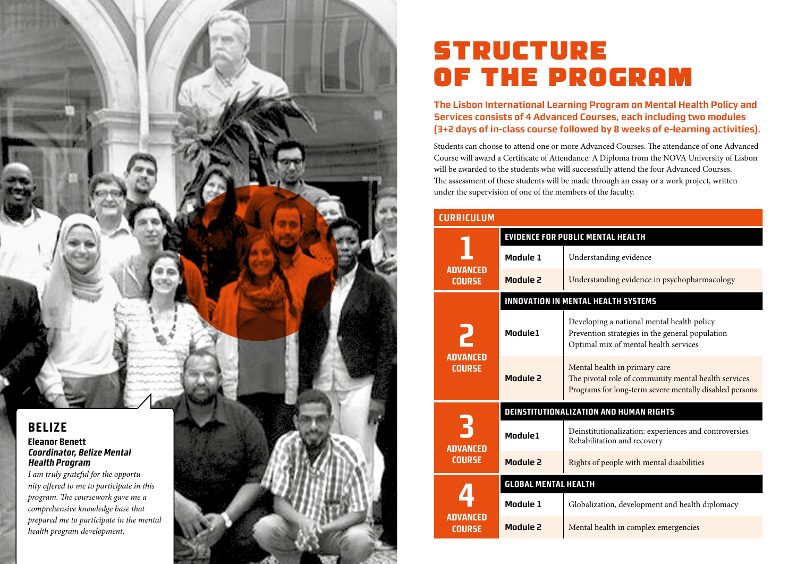

*health program development.* 

## **STRUCTURE OF THE PROGRAM**

**The Lisbon International Learning Program on Mental Health Policy and Services consists of 4 Advanced Courses, each including two modules (3+2 days of in-class course followed by 8 weeks of e-learning activities).**

Students can choose to attend one or more Advanced Courses. The attendance of one Advanced Course will award a Certificate of Attendance. A Diploma from the NOVA University of Lisbon will be awarded to the students who will successfully attend the four Advanced Courses. The assessment of these students will be made through an essay or a work project, written under the supervision of one of the members of the faculty.

| <b>CURRICULUM</b>                     |                                            |                                                                                                                                                  |
|---------------------------------------|--------------------------------------------|--------------------------------------------------------------------------------------------------------------------------------------------------|
| <b>ADVANCED</b><br><b>COURSE</b>      | <b>EVIDENCE FOR PUBLIC MENTAL HEALTH</b>   |                                                                                                                                                  |
|                                       | Module 1                                   | Understanding evidence                                                                                                                           |
|                                       | Module 2                                   | Understanding evidence in psychopharmacology                                                                                                     |
|                                       | <b>INNOVATION IN MENTAL HEALTH SYSTEMS</b> |                                                                                                                                                  |
| <b>ADVANCED</b><br><b>COURSE</b>      | Module1                                    | Developing a national mental health policy<br>Prevention strategies in the general population<br>Optimal mix of mental health services           |
|                                       | Module 2                                   | Mental health in primary care<br>The pivotal role of community mental health services<br>Programs for long-term severe mentally disabled persons |
| F<br><b>ADVANCED</b><br><b>COURSE</b> | DEINSTITUTIONALIZATION AND HUMAN RIGHTS    |                                                                                                                                                  |
|                                       | Module1                                    | Deinstitutionalization: experiences and controversies<br>Rehabilitation and recovery                                                             |
|                                       | <b>Module 2</b>                            | Rights of people with mental disabilities                                                                                                        |
| ADVANCED<br><b>COURSE</b>             | <b>GLOBAL MENTAL HEALTH</b>                |                                                                                                                                                  |
|                                       | Module 1                                   | Globalization, development and health diplomacy                                                                                                  |
|                                       | Module 2                                   | Mental health in complex emergencies                                                                                                             |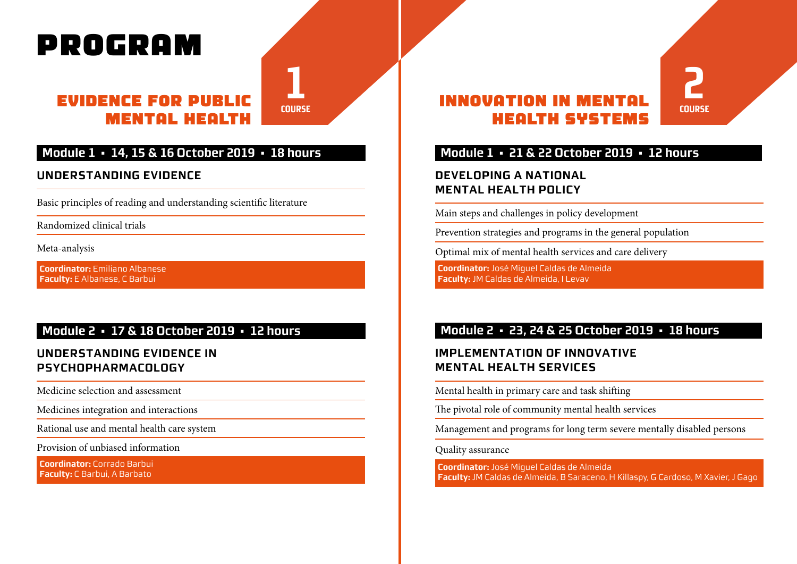# **PROGRAM**

#### **EVIDENCE FOR PUBLIC MENTAL HEALTH**

**1 COURSE**

#### **Module 1 • 14, 15 & 16 October 2019 • 18 hours**

#### **UNDERSTANDING EVIDENCE**

Basic principles of reading and understanding scientific literature

Randomized clinical trials

Meta-analysis

**Coordinator:** Emiliano Albanese **Faculty:** E Albanese, C Barbui

#### **Module 2 • 17 & 18 October 2019 • 12 hours**

#### **UNDERSTANDING EVIDENCE IN PSYCHOPHARMACOLOGY**

Medicine selection and assessment

Medicines integration and interactions

Rational use and mental health care system

Provision of unbiased information

**Coordinator:** Corrado Barbui **Faculty:** C Barbui, A Barbato

### **INNOVATION IN MENTAL HEALTH SYSTEMS**

#### **Module 1 • 21 & 22 October 2019 • 12 hours**

**2**

**COURSE**

#### **DEVELOPING A NATIONAL MENTAL HEALTH POLICY**

Main steps and challenges in policy development

Prevention strategies and programs in the general population

Optimal mix of mental health services and care delivery

**Coordinator:** José Miguel Caldas de Almeida **Faculty:** JM Caldas de Almeida, I Levav

#### **Module 2 • 23, 24 & 25 October 2019 • 18 hours**

#### **IMPLEMENTATION OF INNOVATIVE MENTAL HEALTH SERVICES**

Mental health in primary care and task shifting

The pivotal role of community mental health services

Management and programs for long term severe mentally disabled persons

Quality assurance

**Coordinator:** José Miguel Caldas de Almeida **Faculty:** JM Caldas de Almeida, B Saraceno, H Killaspy, G Cardoso, M Xavier, J Gago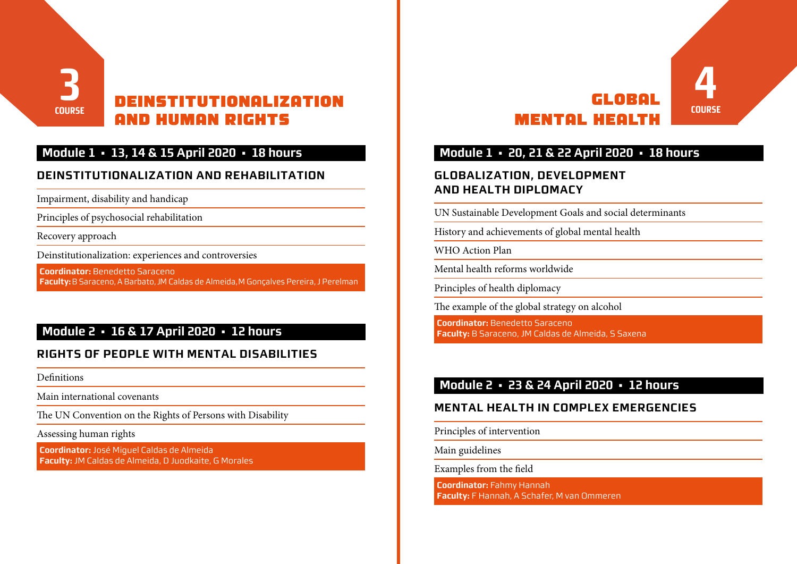

#### **Module 1 • 13, 14 & 15 April 2020 • 18 hours**

#### **DEINSTITUTIONALIZATION AND REHABILITATION**

Impairment, disability and handicap

Principles of psychosocial rehabilitation

Recovery approach

Deinstitutionalization: experiences and controversies

**Coordinator:** Benedetto Saraceno **Faculty:**B Saraceno, A Barbato, JM Caldas de Almeida, M Gonçalves Pereira, J Perelman

#### **Module 2 • 16 & 17 April 2020 • 12 hours**

#### **RIGHTS OF PEOPLE WITH MENTAL DISABILITIES**

Definitions

Main international covenants

The UN Convention on the Rights of Persons with Disability

Assessing human rights

**Coordinator:** José Miguel Caldas de Almeida **Faculty:** JM Caldas de Almeida, D Juodkaite, G Morales

#### **4 COURSE GLOBAL MENTAL HEALTH**

#### **Module 1 • 20, 21 & 22 April 2020 • 18 hours**

#### **GLOBALIZATION, DEVELOPMENT AND HEALTH DIPLOMACY**

UN Sustainable Development Goals and social determinants

History and achievements of global mental health

WHO Action Plan

Mental health reforms worldwide

Principles of health diplomacy

The example of the global strategy on alcohol

**Coordinator:** Benedetto Saraceno **Faculty:** B Saraceno, JM Caldas de Almeida, S Saxena

#### **Module 2 • 23 & 24 April 2020 • 12 hours**

#### **MENTAL HEALTH IN COMPLEX EMERGENCIES**

Principles of intervention

Main guidelines

Examples from the field

**Coordinator:** Fahmy Hannah **Faculty:** F Hannah, A Schafer, M van Ommeren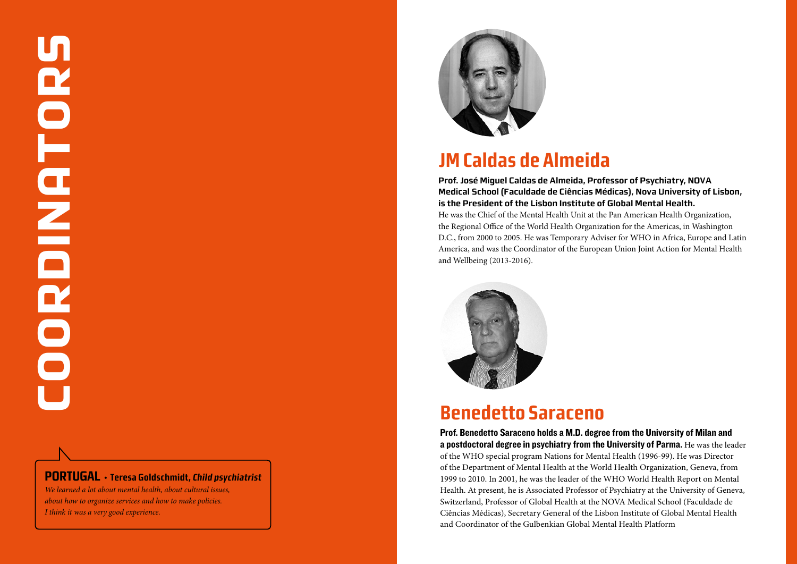**PORTUGAL · Teresa Goldschmidt, Child psychiatrist** *We learned a lot about mental health, about cultural issues,* 

*about how to organize services and how to make policies. I think it was a very good experience.*



### **JM Caldas de Almeida**

**Prof. José Miguel Caldas de Almeida, Professor of Psychiatry, NOVA Medical School (Faculdade de Ciências Médicas), Nova University of Lisbon, is the President of the Lisbon Institute of Global Mental Health.** 

He was the Chief of the Mental Health Unit at the Pan American Health Organization, the Regional Office of the World Health Organization for the Americas, in Washington D.C., from 2000 to 2005. He was Temporary Adviser for WHO in Africa, Europe and Latin America, and was the Coordinator of the European Union Joint Action for Mental Health and Wellbeing (2013-2016).



### **Benedetto Saraceno**

Prof. Benedetto Saraceno holds a M.D. degree from the University of Milan and a postdoctoral degree in psychiatry from the University of Parma. He was the leader of the WHO special program Nations for Mental Health (1996-99). He was Director of the Department of Mental Health at the World Health Organization, Geneva, from 1999 to 2010. In 2001, he was the leader of the WHO World Health Report on Mental Health. At present, he is Associated Professor of Psychiatry at the University of Geneva, Switzerland, Professor of Global Health at the NOVA Medical School (Faculdade de Ciências Médicas), Secretary General of the Lisbon Institute of Global Mental Health and Coordinator of the Gulbenkian Global Mental Health Platform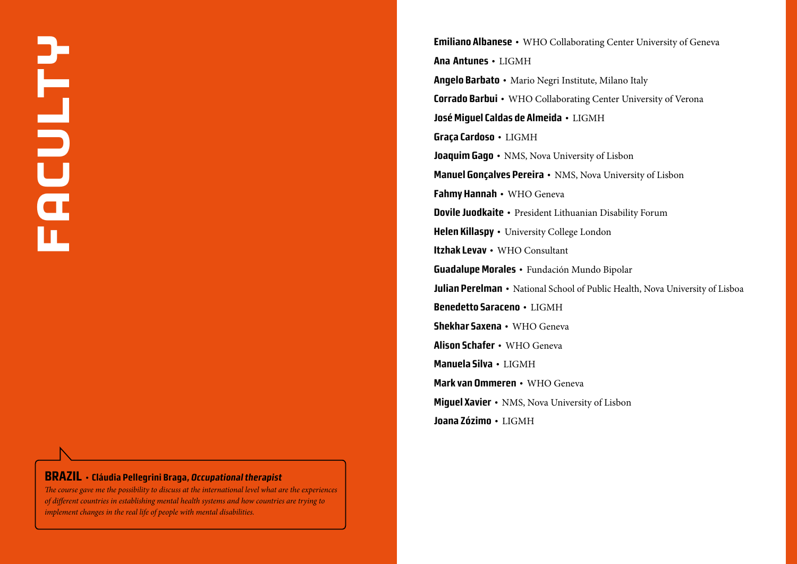#### **BRAZIL · Cláudia Pellegrini Braga, Occupational therapist**

*The course gave me the possibility to discuss at the international level what are the experiences of different countries in establishing mental health systems and how countries are trying to implement changes in the real life of people with mental disabilities.*

**Emiliano Albanese ·** WHO Collaborating Center University of Geneva **Ana Antunes ·** LIGMH **Angelo Barbato ·** Mario Negri Institute, Milano Italy **Corrado Barbui ·** WHO Collaborating Center University of Verona **José Miguel Caldas de Almeida ·** LIGMH **Graça Cardoso ·** LIGMH **Joaquim Gago · NMS, Nova University of Lisbon Manuel Gonçalves Pereira ·** NMS, Nova University of Lisbon **Fahmy Hannah ·** WHO Geneva **Dovile Juodkaite ·** President Lithuanian Disability Forum **Helen Killaspy · University College London Itzhak Levav ·** WHO Consultant **Guadalupe Morales ·** Fundación Mundo Bipolar **Julian Perelman •** National School of Public Health, Nova University of Lisboa **Benedetto Saraceno ·** LIGMH **Shekhar Saxena ·** WHO Geneva **Alison Schafer ·** WHO Geneva **Manuela Silva ·** LIGMH **Mark van Ommeren ·** WHO Geneva **Miguel Xavier ·** NMS, Nova University of Lisbon **Joana Zózimo ·** LIGMH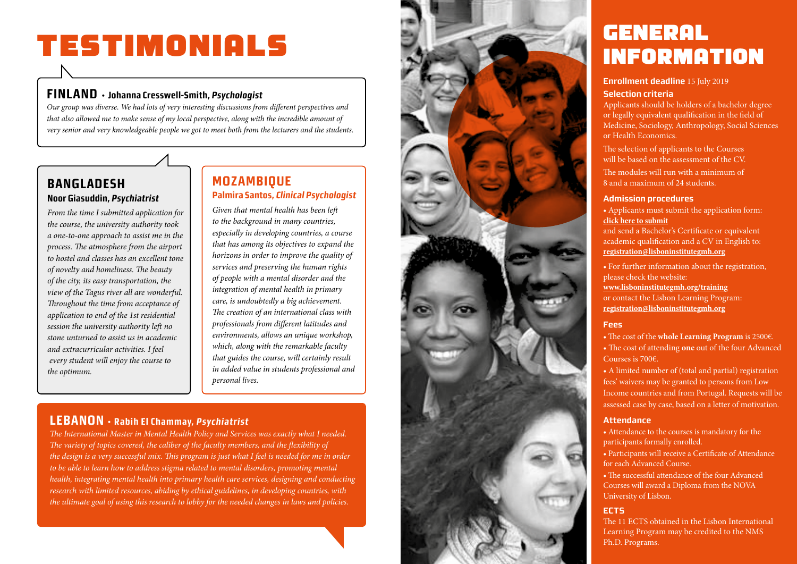# **TESTIMONIALS**

#### **FINLAND · Johanna Cresswell-Smith, Psychologist**

*Our group was diverse. We had lots of very interesting discussions from different perspectives and that also allowed me to make sense of my local perspective, along with the incredible amount of very senior and very knowledgeable people we got to meet both from the lecturers and the students.*

#### **BANGLADESH Noor Giasuddin, Psychiatrist**

*From the time I submitted application for the course, the university authority took a one-to-one approach to assist me in the process. The atmosphere from the airport to hostel and classes has an excellent tone of novelty and homeliness. The beauty of the city, its easy transportation, the view of the Tagus river all are wonderful. Throughout the time from acceptance of application to end of the 1st residential session the university authority left no stone unturned to assist us in academic and extracurricular activities. I feel every student will enjoy the course to the optimum.*

#### **MOZAMBIQUE Palmira Santos, Clinical Psychologist**

*Given that mental health has been left to the background in many countries, especially in developing countries, a course that has among its objectives to expand the horizons in order to improve the quality of services and preserving the human rights of people with a mental disorder and the integration of mental health in primary care, is undoubtedly a big achievement. The creation of an international class with professionals from different latitudes and environments, allows an unique workshop, which, along with the remarkable faculty that guides the course, will certainly result in added value in students professional and personal lives.*

#### **LEBANON · Rabih El Chammay, Psychiatrist**

*The International Master in Mental Health Policy and Services was exactly what I needed. The variety of topics covered, the caliber of the faculty members, and the flexibility of the design is a very successful mix. This program is just what I feel is needed for me in order to be able to learn how to address stigma related to mental disorders, promoting mental health, integrating mental health into primary health care services, designing and conducting research with limited resources, abiding by ethical guidelines, in developing countries, with the ultimate goal of using this research to lobby for the needed changes in laws and policies.*



### **GENERAL INFORMATION**

#### **Enrollment deadline** 15 July 2019

#### **Selection criteria**

Applicants should be holders of a bachelor degree or legally equivalent qualification in the field of Medicine, Sociology, Anthropology, Social Sciences or Health Economics.

The selection of applicants to the Courses will be based on the assessment of the CV.

The modules will run with a minimum of 8 and a maximum of 24 students.

#### **Admission procedures**

• Applicants must submit the application form: **click here to submit**

and send a Bachelor's Certificate or equivalent academic qualification and a CV in English to: **registration@lisboninstitutegmh.org**

• For further information about the registration, please check the website:

**www.lisboninstitutegmh.org/training** or contact the Lisbon Learning Program: **registration@lisboninstitutegmh.org**

#### **Fees**

• The cost of the **whole Learning Program** is 2500€.

• The cost of attending **one** out of the four Advanced Courses is 700€.

• A limited number of (total and partial) registration fees' waivers may be granted to persons from Low Income countries and from Portugal. Requests will be assessed case by case, based on a letter of motivation.

#### **Attendance**

• Attendance to the courses is mandatory for the participants formally enrolled.

• Participants will receive a Certificate of Attendance for each Advanced Course.

• The successful attendance of the four Advanced Courses will award a Diploma from the NOVA University of Lisbon.

#### **ECTS**

The 11 ECTS obtained in the Lisbon International Learning Program may be credited to the NMS Ph.D. Programs.